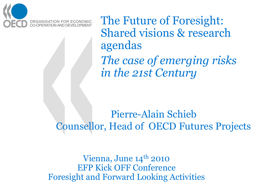

The Future of Foresight: Shared visions & research agendas *The case of emerging risks in the 21st Century*

Pierre-Alain Schieb Counsellor, Head of OECD Futures Projects

Vienna, June  $14<sup>th</sup>$  2010 EFP Kick OFF Conference Foresight and Forward Looking Activities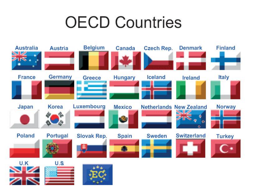# **OECD Countries**

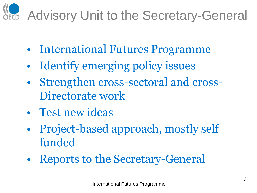# **NEG** Advisory Unit to the Secretary-General

- International Futures Programme
- Identify emerging policy issues
- Strengthen cross-sectoral and cross-Directorate work
- Test new ideas
- Project-based approach, mostly self funded
- Reports to the Secretary-General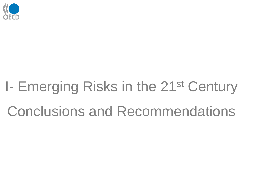

# I- Emerging Risks in the 21st Century Conclusions and Recommendations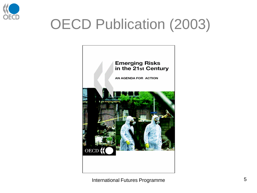

# OECD Publication (2003)



International Futures Programme **5** and the state of  $\sim$  5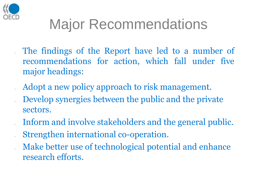

# Major Recommendations

- The findings of the Report have led to a number of recommendations for action, which fall under five major headings:
- Adopt a new policy approach to risk management.
- Develop synergies between the public and the private sectors.
- Inform and involve stakeholders and the general public.
- Strengthen international co-operation.
- Make better use of technological potential and enhance research efforts.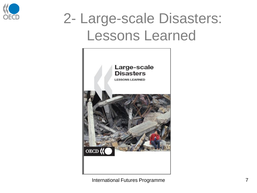

## 2- Large-scale Disasters: Lessons Learned



International Futures Programme 7 7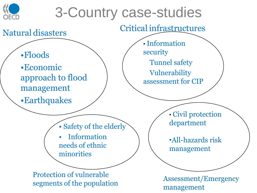

### 3-Country case-studies

Natural disasters Critical infrastructures

•Floods

•Economic approach to flood management

•Earthquakes

• Information security Tunnel safety Vulnerability assessment for CIP

• Safety of the elderly

• Information needs of ethnic minorities

Protection of vulnerable segments of the population<br>  $\frac{1}{2}$  Assessment/Emergency

• Civil protection department

•All-hazards risk management

management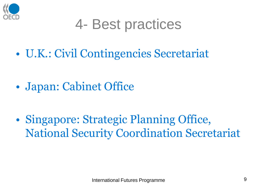

### 4- Best practices

• U.K.: Civil Contingencies Secretariat

• Japan: Cabinet Office

• Singapore: Strategic Planning Office, National Security Coordination Secretariat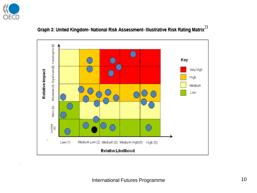

 $\cdot$ 



#### Graph 3: United Kingdom- National Risk Assessment- Illustrative Risk Rating Matrix $^{23}$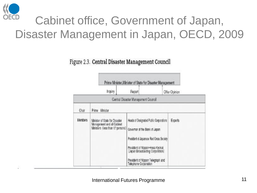

#### Cabinet office, Government of Japan, Disaster Management in Japan, OECD, 2009

Figure 2.3. Central Disaster Management Council

|         | Inquiry                                                                                          | Report                                                                                                                                                                                                                                                   | Offer Opinion |
|---------|--------------------------------------------------------------------------------------------------|----------------------------------------------------------------------------------------------------------------------------------------------------------------------------------------------------------------------------------------------------------|---------------|
|         |                                                                                                  | Central Disaster Management Council                                                                                                                                                                                                                      |               |
| Chair   | Prime Minister                                                                                   |                                                                                                                                                                                                                                                          |               |
| Members | Minister of State for Disaster<br>Management and all Cabinet<br>Ministers (less than 17 persons) | Heads of Designated Public Corporations<br>Governor of the Bank of Japan<br>President of Japanese Red Cross Society<br>President of Nippon-Hoso Kyokal<br>(Japan Broadcasting Corporation)<br>President of Nippon Telegraph and<br>Telephone Corporation | Experts       |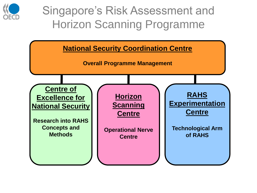

#### Singapore's Risk Assessment and Horizon Scanning Programme

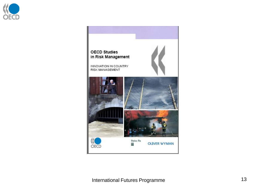

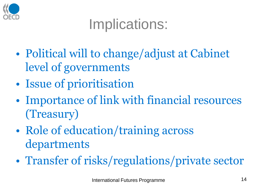

### Implications:

- Political will to change/adjust at Cabinet level of governments
- Issue of prioritisation
- Importance of link with financial resources (Treasury)
- Role of education/training across departments
- Transfer of risks/regulations/private sector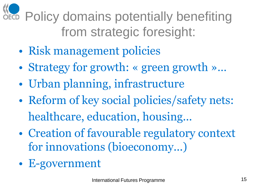**NE Policy domains potentially benefiting** from strategic foresight:

- Risk management policies
- Strategy for growth: « green growth »...
- Urban planning, infrastructure
- Reform of key social policies/safety nets: healthcare, education, housing...
- Creation of favourable regulatory context for innovations (bioeconomy...)
- E-government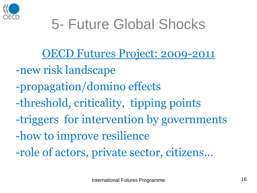

# 5- Future Global Shocks

OECD Futures Project: 2009-2011

- -new risk landscape
- -propagation/domino effects
- -threshold, criticality, tipping points
- -triggers for intervention by governments
- -how to improve resilience
- -role of actors, private sector, citizens...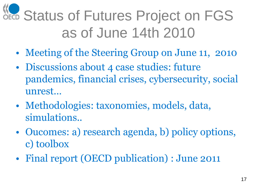# **NEG Status of Futures Project on FGS** as of June 14th 2010

- Meeting of the Steering Group on June 11, 2010
- Discussions about 4 case studies: future pandemics, financial crises, cybersecurity, social unrest…
- Methodologies: taxonomies, models, data, simulations..
- Oucomes: a) research agenda, b) policy options, c) toolbox
- Final report (OECD publication) : June 2011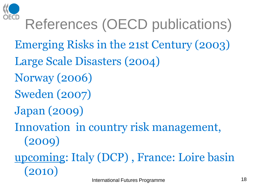

# References (OECD publications)

- Emerging Risks in the 21st Century (2003)
- Large Scale Disasters (2004)
- Norway (2006)
- Sweden (2007)
- Japan (2009)
- Innovation in country risk management, (2009)

### upcoming: Italy (DCP) , France: Loire basin (2010)